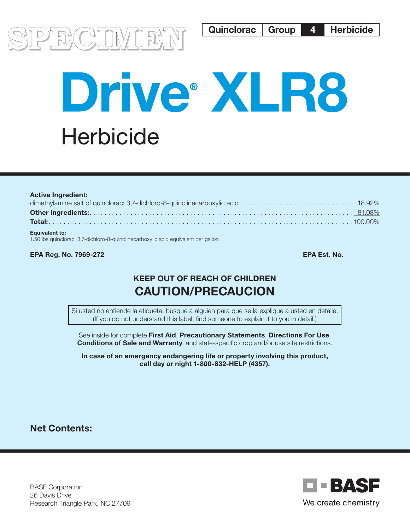

# Drive XLR8 **Herbicide**

| <b>Active Ingredient:</b> |  |
|---------------------------|--|
|                           |  |
|                           |  |
|                           |  |
| <b>Equivalent to:</b>     |  |

1.50 lbs quinclorac: 3,7-dichloro-8-quinolinecarboxylic acid equivalent per gallon

EPA Reg. No. 7969-272 EPA Est. No.

# KEEP OUT OF REACH OF CHILDREN CAUTION/PRECAUCION

Si usted no entiende la etiqueta, busque a alguien para que se la explique a usted en detalle. (If you do not understand this label, find someone to explain it to you in detail.)

See inside for complete First Aid, Precautionary Statements, Directions For Use, Conditions of Sale and Warranty, and state-specific crop and/or use site restrictions.

In case of an emergency endangering life or property involving this product, call day or night 1-800-832-HELP (4357).

Net Contents:

BASF Corporation 26 Davis Drive Research Triangle Park, NC 27709

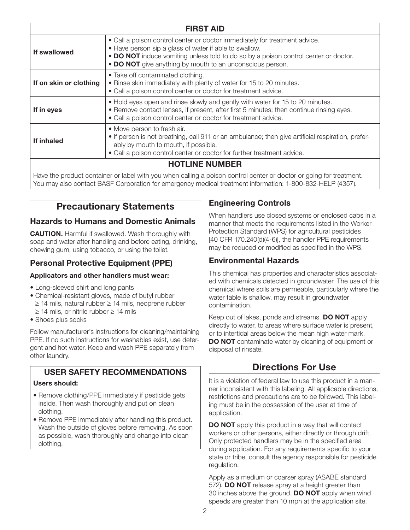| <b>FIRST AID</b>                                                                                                 |                                                                                                                                                                                                                                                                                          |  |
|------------------------------------------------------------------------------------------------------------------|------------------------------------------------------------------------------------------------------------------------------------------------------------------------------------------------------------------------------------------------------------------------------------------|--|
| If swallowed                                                                                                     | • Call a poison control center or doctor immediately for treatment advice.<br>• Have person sip a glass of water if able to swallow.<br>• DO NOT induce vomiting unless told to do so by a poison control center or doctor.<br>• DO NOT give anything by mouth to an unconscious person. |  |
| If on skin or clothing                                                                                           | • Take off contaminated clothing.<br>• Rinse skin immediately with plenty of water for 15 to 20 minutes.<br>• Call a poison control center or doctor for treatment advice.                                                                                                               |  |
| If in eyes                                                                                                       | • Hold eyes open and rinse slowly and gently with water for 15 to 20 minutes.<br>• Remove contact lenses, if present, after first 5 minutes; then continue rinsing eyes.<br>• Call a poison control center or doctor for treatment advice.                                               |  |
| If inhaled                                                                                                       | • Move person to fresh air.<br>• If person is not breathing, call 911 or an ambulance; then give artificial respiration, prefer-<br>ably by mouth to mouth, if possible.<br>• Call a poison control center or doctor for further treatment advice.                                       |  |
| <b>HOTLINE NUMBER</b>                                                                                            |                                                                                                                                                                                                                                                                                          |  |
| Houghtoneolust container or label with you whan colling a poison control center or doctor or going for tractment |                                                                                                                                                                                                                                                                                          |  |

Have the product container or label with you when calling a poison control center or doctor or going for treatment. You may also contact BASF Corporation for emergency medical treatment information: 1-800-832-HELP (4357).

# Precautionary Statements

#### Hazards to Humans and Domestic Animals

CAUTION. Harmful if swallowed. Wash thoroughly with soap and water after handling and before eating, drinking, chewing gum, using tobacco, or using the toilet.

# Personal Protective Equipment (PPE)

#### Applicators and other handlers must wear:

- Long-sleeved shirt and long pants
- Chemical-resistant gloves, made of butyl rubber ≥ 14 mils, natural rubber ≥ 14 mils, neoprene rubber ≥ 14 mils, or nitrile rubber ≥ 14 mils
- Shoes plus socks

Follow manufacturer's instructions for cleaning/maintaining PPE. If no such instructions for washables exist, use detergent and hot water. Keep and wash PPE separately from other laundry.

# USER SAFETY RECOMMENDATIONS

#### Users should:

- Remove clothing/PPE immediately if pesticide gets inside. Then wash thoroughly and put on clean clothing.
- Remove PPE immediately after handling this product. Wash the outside of gloves before removing. As soon as possible, wash thoroughly and change into clean clothing.

# Engineering Controls

When handlers use closed systems or enclosed cabs in a manner that meets the requirements listed in the Worker Protection Standard (WPS) for agricultural pesticides [40 CFR 170.240(d)(4-6)], the handler PPE requirements may be reduced or modified as specified in the WPS.

# Environmental Hazards

This chemical has properties and characteristics associated with chemicals detected in groundwater. The use of this chemical where soils are permeable, particularly where the water table is shallow, may result in groundwater contamination.

Keep out of lakes, ponds and streams. **DO NOT** apply directly to water, to areas where surface water is present, or to intertidal areas below the mean high water mark. DO NOT contaminate water by cleaning of equipment or disposal of rinsate.

# Directions For Use

It is a violation of federal law to use this product in a manner inconsistent with this labeling. All applicable directions, restrictions and precautions are to be followed. This labeling must be in the possession of the user at time of application.

**DO NOT** apply this product in a way that will contact workers or other persons, either directly or through drift. Only protected handlers may be in the specified area during application. For any requirements specific to your state or tribe, consult the agency responsible for pesticide regulation.

Apply as a medium or coarser spray (ASABE standard 572). **DO NOT** release spray at a height greater than 30 inches above the ground. DO NOT apply when wind speeds are greater than 10 mph at the application site.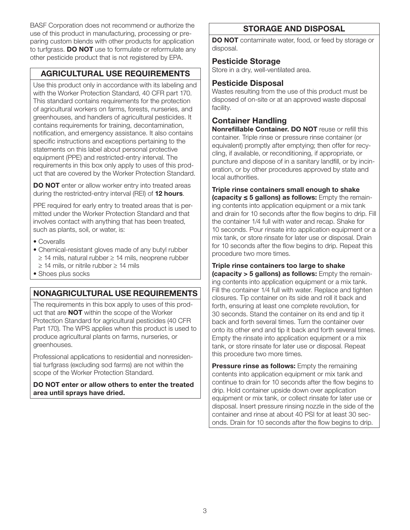BASF Corporation does not recommend or authorize the use of this product in manufacturing, processing or preparing custom blends with other products for application to turfgrass. **DO NOT** use to formulate or reformulate any other pesticide product that is not registered by EPA.

# AGRICULTURAL USE REQUIREMENTS

Use this product only in accordance with its labeling and with the Worker Protection Standard, 40 CFR part 170. This standard contains requirements for the protection of agricultural workers on farms, forests, nurseries, and greenhouses, and handlers of agricultural pesticides. It contains requirements for training, decontamination, notification, and emergency assistance. It also contains specific instructions and exceptions pertaining to the statements on this label about personal protective equipment (PPE) and restricted-entry interval. The requirements in this box only apply to uses of this product that are covered by the Worker Protection Standard.

**DO NOT** enter or allow worker entry into treated areas during the restricted-entry interval (REI) of 12 hours.

PPE required for early entry to treated areas that is permitted under the Worker Protection Standard and that involves contact with anything that has been treated, such as plants, soil, or water, is:

- Coveralls
- Chemical-resistant gloves made of any butyl rubber ≥ 14 mils, natural rubber ≥ 14 mils, neoprene rubber ≥ 14 mils, or nitrile rubber ≥ 14 mils
- Shoes plus socks

# NONAGRICULTURAL USE REQUIREMENTS

The requirements in this box apply to uses of this product that are NOT within the scope of the Worker Protection Standard for agricultural pesticides (40 CFR Part 170). The WPS applies when this product is used to produce agricultural plants on farms, nurseries, or greenhouses.

Professional applications to residential and nonresidential turfgrass (excluding sod farms) are not within the scope of the Worker Protection Standard.

#### DO NOT enter or allow others to enter the treated area until sprays have dried.

# STORAGE AND DISPOSAL

DO NOT contaminate water, food, or feed by storage or disposal.

#### Pesticide Storage

Store in a dry, well-ventilated area.

#### Pesticide Disposal

Wastes resulting from the use of this product must be disposed of on-site or at an approved waste disposal facility.

# Container Handling

Nonrefillable Container. DO NOT reuse or refill this container. Triple rinse or pressure rinse container (or equivalent) promptly after emptying; then offer for recycling, if available, or reconditioning, if appropriate, or puncture and dispose of in a sanitary landfill, or by incineration, or by other procedures approved by state and local authorities.

Triple rinse containers small enough to shake  $(capacity \leq 5 gallons)$  as follows: Empty the remaining contents into application equipment or a mix tank and drain for 10 seconds after the flow begins to drip. Fill the container 1/4 full with water and recap. Shake for 10 seconds. Pour rinsate into application equipment or a mix tank, or store rinsate for later use or disposal. Drain for 10 seconds after the flow begins to drip. Repeat this procedure two more times.

Triple rinse containers too large to shake

(capacity > 5 gallons) as follows: Empty the remaining contents into application equipment or a mix tank. Fill the container 1/4 full with water. Replace and tighten closures. Tip container on its side and roll it back and forth, ensuring at least one complete revolution, for 30 seconds. Stand the container on its end and tip it back and forth several times. Turn the container over onto its other end and tip it back and forth several times. Empty the rinsate into application equipment or a mix tank, or store rinsate for later use or disposal. Repeat this procedure two more times.

**Pressure rinse as follows:** Empty the remaining contents into application equipment or mix tank and continue to drain for 10 seconds after the flow begins to drip. Hold container upside down over application equipment or mix tank, or collect rinsate for later use or disposal. Insert pressure rinsing nozzle in the side of the container and rinse at about 40 PSI for at least 30 seconds. Drain for 10 seconds after the flow begins to drip.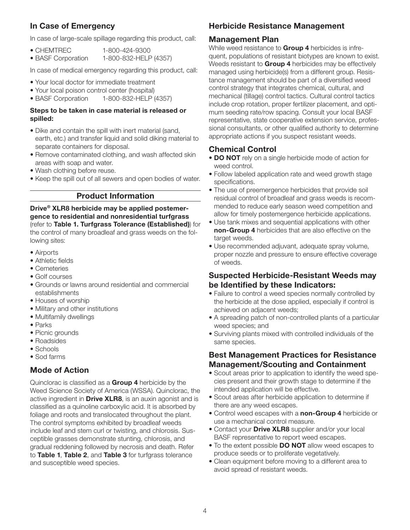#### In Case of Emergency

In case of large-scale spillage regarding this product, call:

| $\bullet$ CHEMTREC | 1-800-424-9300        |
|--------------------|-----------------------|
| • BASF Corporation | 1-800-832-HELP (4357) |

In case of medical emergency regarding this product, call:

- Your local doctor for immediate treatment
- Your local poison control center (hospital)
- BASF Corporation 1-800-832-HELP (4357)

#### Steps to be taken in case material is released or spilled:

- Dike and contain the spill with inert material (sand, earth, etc.) and transfer liquid and solid diking material to separate containers for disposal.
- Remove contaminated clothing, and wash affected skin areas with soap and water.
- Wash clothing before reuse.
- Keep the spill out of all sewers and open bodies of water.

#### Product Information

Drive® XLR8 herbicide may be applied postemergence to residential and nonresidential turfgrass (refer to Table 1. Turfgrass Tolerance (Established)) for the control of many broadleaf and grass weeds on the following sites:

- Airports
- Athletic fields
- Cemeteries
- Golf courses
- Grounds or lawns around residential and commercial establishments
- Houses of worship
- Military and other institutions
- Multifamily dwellings
- Parks
- Picnic grounds
- Roadsides
- Schools
- Sod farms

# Mode of Action

Quinclorac is classified as a Group 4 herbicide by the Weed Science Society of America (WSSA). Quinclorac, the active ingredient in **Drive XLR8**, is an auxin agonist and is classified as a quinoline carboxylic acid. It is absorbed by foliage and roots and translocated throughout the plant. The control symptoms exhibited by broadleaf weeds include leaf and stem curl or twisting, and chlorosis. Susceptible grasses demonstrate stunting, chlorosis, and gradual reddening followed by necrosis and death. Refer to Table 1, Table 2, and Table 3 for turfgrass tolerance and susceptible weed species.

#### Herbicide Resistance Management

#### Management Plan

While weed resistance to Group 4 herbicides is infrequent, populations of resistant biotypes are known to exist. Weeds resistant to Group 4 herbicides may be effectively managed using herbicide(s) from a different group. Resistance management should be part of a diversified weed control strategy that integrates chemical, cultural, and mechanical (tillage) control tactics. Cultural control tactics include crop rotation, proper fertilizer placement, and optimum seeding rate/row spacing. Consult your local BASF representative, state cooperative extension service, professional consultants, or other qualified authority to determine appropriate actions if you suspect resistant weeds.

#### Chemical Control

- DO NOT rely on a single herbicide mode of action for weed control.
- Follow labeled application rate and weed growth stage specifications.
- The use of preemergence herbicides that provide soil residual control of broadleaf and grass weeds is recommended to reduce early season weed competition and allow for timely postemergence herbicide applications.
- Use tank mixes and sequential applications with other non-Group 4 herbicides that are also effective on the target weeds.
- Use recommended adjuvant, adequate spray volume, proper nozzle and pressure to ensure effective coverage of weeds.

#### Suspected Herbicide-Resistant Weeds may be Identified by these Indicators:

- Failure to control a weed species normally controlled by the herbicide at the dose applied, especially if control is achieved on adjacent weeds;
- A spreading patch of non-controlled plants of a particular weed species; and
- Surviving plants mixed with controlled individuals of the same species.

#### Best Management Practices for Resistance Management/Scouting and Containment

- Scout areas prior to application to identify the weed species present and their growth stage to determine if the intended application will be effective.
- Scout areas after herbicide application to determine if there are any weed escapes.
- Control weed escapes with a non-Group 4 herbicide or use a mechanical control measure.
- Contact your **Drive XLR8** supplier and/or your local BASF representative to report weed escapes.
- To the extent possible **DO NOT** allow weed escapes to produce seeds or to proliferate vegetatively.
- Clean equipment before moving to a different area to avoid spread of resistant weeds.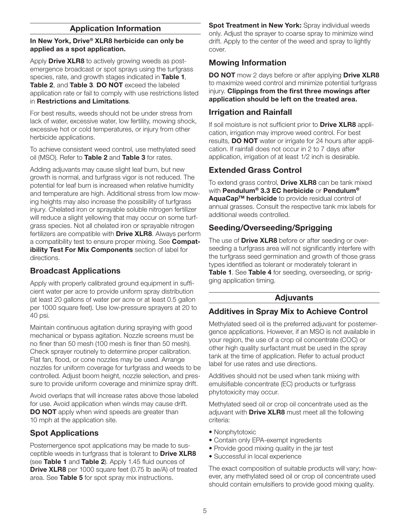#### Application Information

#### In New York, Drive® XLR8 herbicide can only be applied as a spot application.

Apply Drive XLR8 to actively growing weeds as postemergence broadcast or spot sprays using the turfgrass species, rate, and growth stages indicated in Table 1, Table 2, and Table 3. DO NOT exceed the labeled application rate or fail to comply with use restrictions listed in Restrictions and Limitations.

For best results, weeds should not be under stress from lack of water, excessive water, low fertility, mowing shock, excessive hot or cold temperatures, or injury from other herbicide applications.

To achieve consistent weed control, use methylated seed oil (MSO). Refer to Table 2 and Table 3 for rates.

Adding adjuvants may cause slight leaf burn, but new growth is normal, and turfgrass vigor is not reduced. The potential for leaf burn is increased when relative humidity and temperature are high. Additional stress from low mowing heights may also increase the possibility of turfgrass injury. Chelated iron or sprayable soluble nitrogen fertilizer will reduce a slight yellowing that may occur on some turfgrass species. Not all chelated iron or sprayable nitrogen fertilizers are compatible with **Drive XLR8**. Always perform a compatibility test to ensure proper mixing. See **Compat**ibility Test For Mix Components section of label for directions.

# Broadcast Applications

Apply with properly calibrated ground equipment in sufficient water per acre to provide uniform spray distribution (at least 20 gallons of water per acre or at least 0.5 gallon per 1000 square feet). Use low-pressure sprayers at 20 to 40 psi.

Maintain continuous agitation during spraying with good mechanical or bypass agitation. Nozzle screens must be no finer than 50 mesh (100 mesh is finer than 50 mesh). Check sprayer routinely to determine proper calibration. Flat fan, flood, or cone nozzles may be used. Arrange nozzles for uniform coverage for turfgrass and weeds to be controlled. Adjust boom height, nozzle selection, and pressure to provide uniform coverage and minimize spray drift.

Avoid overlaps that will increase rates above those labeled for use. Avoid application when winds may cause drift. **DO NOT** apply when wind speeds are greater than 10 mph at the application site.

# Spot Applications

Postemergence spot applications may be made to susceptible weeds in turfgrass that is tolerant to **Drive XLR8** (see Table 1 and Table 2). Apply 1.45 fluid ounces of **Drive XLR8** per 1000 square feet (0.75 lb ae/A) of treated area. See Table 5 for spot spray mix instructions.

Spot Treatment in New York: Spray individual weeds only. Adjust the sprayer to coarse spray to minimize wind drift. Apply to the center of the weed and spray to lightly cover.

#### Mowing Information

DO NOT mow 2 days before or after applying Drive XLR8 to maximize weed control and minimize potential turfgrass injury. Clippings from the first three mowings after application should be left on the treated area.

#### Irrigation and Rainfall

If soil moisture is not sufficient prior to Drive XLR8 application, irrigation may improve weed control. For best results, **DO NOT** water or irrigate for 24 hours after application. If rainfall does not occur in 2 to 7 days after application, irrigation of at least 1/2 inch is desirable.

# Extended Grass Control

To extend grass control, **Drive XLR8** can be tank mixed with Pendulum<sup>®</sup> 3.3 EC herbicide or Pendulum<sup>®</sup> AquaCap™ herbicide to provide residual control of annual grasses. Consult the respective tank mix labels for additional weeds controlled.

# Seeding/Overseeding/Sprigging

The use of **Drive XLR8** before or after seeding or overseeding a turfgrass area will not significantly interfere with the turfgrass seed germination and growth of those grass types identified as tolerant or moderately tolerant in Table 1. See Table 4 for seeding, overseeding, or sprigging application timing.

#### Adjuvants

# Additives in Spray Mix to Achieve Control

Methylated seed oil is the preferred adjuvant for postemergence applications. However, if an MSO is not available in your region, the use of a crop oil concentrate (COC) or other high quality surfactant must be used in the spray tank at the time of application. Refer to actual product label for use rates and use directions.

Additives should not be used when tank mixing with emulsifiable concentrate (EC) products or turfgrass phytotoxicity may occur.

Methylated seed oil or crop oil concentrate used as the adjuvant with **Drive XLR8** must meet all the following criteria:

- Nonphytotoxic
- Contain only EPA-exempt ingredients
- Provide good mixing quality in the jar test
- Successful in local experience

The exact composition of suitable products will vary; however, any methylated seed oil or crop oil concentrate used should contain emulsifiers to provide good mixing quality.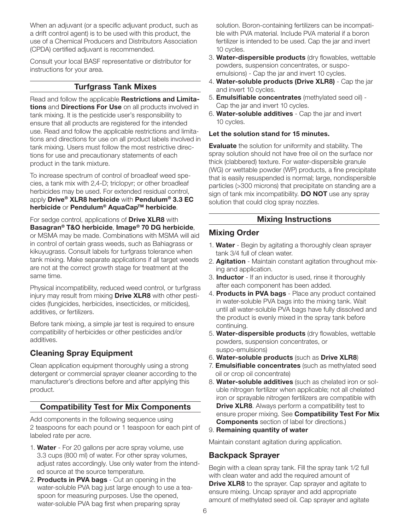When an adjuvant (or a specific adjuvant product, such as a drift control agent) is to be used with this product, the use of a Chemical Producers and Distributors Association (CPDA) certified adjuvant is recommended.

Consult your local BASF representative or distributor for instructions for your area.

#### Turfgrass Tank Mixes

Read and follow the applicable Restrictions and Limitations and Directions For Use on all products involved in tank mixing. It is the pesticide user's responsibility to ensure that all products are registered for the intended use. Read and follow the applicable restrictions and limitations and directions for use on all product labels involved in tank mixing. Users must follow the most restrictive directions for use and precautionary statements of each product in the tank mixture.

To increase spectrum of control of broadleaf weed species, a tank mix with 2,4-D; triclopyr; or other broadleaf herbicides may be used. For extended residual control, apply Drive<sup>®</sup> XLR8 herbicide with Pendulum<sup>®</sup> 3.3 EC herbicide or Pendulum<sup>®</sup> AquaCap<sup>™</sup> herbicide.

For sedge control, applications of Drive XLR8 with Basagran® T&O herbicide, Image® 70 DG herbicide, or MSMA may be made. Combinations with MSMA will aid in control of certain grass weeds, such as Bahiagrass or kikuyugrass. Consult labels for turfgrass tolerance when tank mixing. Make separate applications if all target weeds are not at the correct growth stage for treatment at the same time.

Physical incompatibility, reduced weed control, or turfgrass injury may result from mixing **Drive XLR8** with other pesticides (fungicides, herbicides, insecticides, or miticides), additives, or fertilizers.

Before tank mixing, a simple jar test is required to ensure compatibility of herbicides or other pesticides and/or additives.

# Cleaning Spray Equipment

Clean application equipment thoroughly using a strong detergent or commercial sprayer cleaner according to the manufacturer's directions before and after applying this product.

# Compatibility Test for Mix Components

Add components in the following sequence using 2 teaspoons for each pound or 1 teaspoon for each pint of labeled rate per acre.

- 1. Water For 20 gallons per acre spray volume, use 3.3 cups (800 ml) of water. For other spray volumes, adjust rates accordingly. Use only water from the intended source at the source temperature.
- 2. **Products in PVA bags** Cut an opening in the water-soluble PVA bag just large enough to use a teaspoon for measuring purposes. Use the opened, water-soluble PVA bag first when preparing spray

solution. Boron-containing fertilizers can be incompatible with PVA material. Include PVA material if a boron fertilizer is intended to be used. Cap the jar and invert 10 cycles.

- 3. Water-dispersible products (dry flowables, wettable powders, suspension concentrates, or suspoemulsions) - Cap the jar and invert 10 cycles.
- 4. Water-soluble products (Drive XLR8) Cap the jar and invert 10 cycles.
- 5. Emulsifiable concentrates (methylated seed oil) Cap the jar and invert 10 cycles.
- 6. Water-soluble additives Cap the jar and invert 10 cycles.

#### Let the solution stand for 15 minutes.

**Evaluate** the solution for uniformity and stability. The spray solution should not have free oil on the surface nor thick (clabbered) texture. For water-dispersible granule (WG) or wettable powder (WP) products, a fine precipitate that is easily resuspended is normal; large, nondispersible particles (>300 microns) that precipitate on standing are a sign of tank mix incompatibility. **DO NOT** use any spray solution that could clog spray nozzles.

#### Mixing Instructions

#### Mixing Order

- 1. Water Begin by agitating a thoroughly clean sprayer tank 3/4 full of clean water.
- 2. **Agitation** Maintain constant agitation throughout mixing and application.
- 3. **Inductor** If an inductor is used, rinse it thoroughly after each component has been added.
- 4. **Products in PVA bags** Place any product contained in water-soluble PVA bags into the mixing tank. Wait until all water-soluble PVA bags have fully dissolved and the product is evenly mixed in the spray tank before continuing.
- 5. Water-dispersible products (dry flowables, wettable powders, suspension concentrates, or suspo-emulsions)
- 6. Water-soluble products (such as Drive XLR8)
- 7. **Emulsifiable concentrates** (such as methylated seed oil or crop oil concentrate)
- 8. Water-soluble additives (such as chelated iron or soluble nitrogen fertilizer when applicable; not all chelated iron or sprayable nitrogen fertilizers are compatible with **Drive XLR8.** Always perform a compatibility test to ensure proper mixing. See Compatibility Test For Mix Components section of label for directions.)

#### 9. Remaining quantity of water

Maintain constant agitation during application.

# Backpack Sprayer

Begin with a clean spray tank. Fill the spray tank 1/2 full with clean water and add the required amount of **Drive XLR8** to the sprayer. Cap sprayer and agitate to ensure mixing. Uncap sprayer and add appropriate amount of methylated seed oil. Cap sprayer and agitate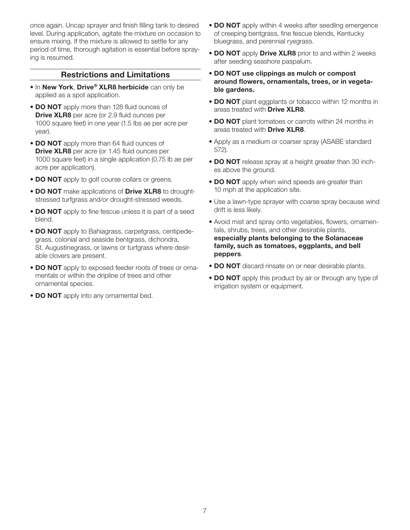once again. Uncap sprayer and finish filling tank to desired level. During application, agitate the mixture on occasion to ensure mixing. If the mixture is allowed to settle for any period of time, thorough agitation is essential before spraying is resumed.

#### Restrictions and Limitations

- In New York, Drive® XLR8 herbicide can only be applied as a spot application.
- DO NOT apply more than 128 fluid ounces of **Drive XLR8** per acre (or 2.9 fluid ounces per 1000 square feet) in one year (1.5 lbs ae per acre per year).
- DO NOT apply more than 64 fluid ounces of **Drive XLR8** per acre (or 1.45 fluid ounces per 1000 square feet) in a single application (0.75 lb ae per acre per application).
- DO NOT apply to golf course collars or greens.
- DO NOT make applications of Drive XLR8 to droughtstressed turfgrass and/or drought-stressed weeds.
- **DO NOT** apply to fine fescue unless it is part of a seed blend.
- DO NOT apply to Bahiagrass, carpetgrass, centipedegrass, colonial and seaside bentgrass, dichondra, St. Augustinegrass, or lawns or turfgrass where desirable clovers are present.
- DO NOT apply to exposed feeder roots of trees or ornamentals or within the dripline of trees and other ornamental species.
- **DO NOT** apply into any ornamental bed.
- DO NOT apply within 4 weeks after seedling emergence of creeping bentgrass, fine fescue blends, Kentucky bluegrass, and perennial ryegrass.
- DO NOT apply Drive XLR8 prior to and within 2 weeks after seeding seashore paspalum.
- DO NOT use clippings as mulch or compost around flowers, ornamentals, trees, or in vegetable gardens.
- **DO NOT** plant eggplants or tobacco within 12 months in areas treated with Drive XLR8.
- DO NOT plant tomatoes or carrots within 24 months in areas treated with Drive XLR8.
- Apply as a medium or coarser spray (ASABE standard 572).
- DO NOT release spray at a height greater than 30 inches above the ground.
- DO NOT apply when wind speeds are greater than 10 mph at the application site.
- Use a lawn-type sprayer with coarse spray because wind drift is less likely.
- Avoid mist and spray onto vegetables, flowers, ornamentals, shrubs, trees, and other desirable plants, especially plants belonging to the Solanaceae family, such as tomatoes, eggplants, and bell peppers.
- DO NOT discard rinsate on or near desirable plants.
- **DO NOT** apply this product by air or through any type of irrigation system or equipment.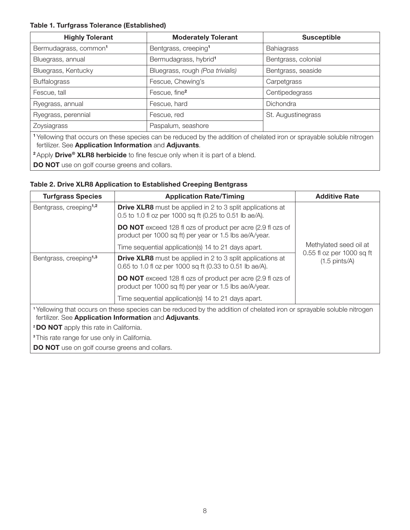#### Table 1. Turfgrass Tolerance (Established)

| <b>Highly Tolerant</b>                                                                                                                                                                      | <b>Moderately Tolerant</b>        | <b>Susceptible</b>  |  |
|---------------------------------------------------------------------------------------------------------------------------------------------------------------------------------------------|-----------------------------------|---------------------|--|
| Bermudagrass, common <sup>1</sup>                                                                                                                                                           | Bentgrass, creeping <sup>1</sup>  | <b>Bahiagrass</b>   |  |
| Bluegrass, annual                                                                                                                                                                           | Bermudagrass, hybrid <sup>1</sup> | Bentgrass, colonial |  |
| Bluegrass, Kentucky                                                                                                                                                                         | Bluegrass, rough (Poa trivialis)  | Bentgrass, seaside  |  |
| <b>Buffalograss</b>                                                                                                                                                                         | Fescue, Chewing's                 | Carpetgrass         |  |
| Fescue, tall                                                                                                                                                                                | Fescue, fine <sup>2</sup>         | Centipedegrass      |  |
| Ryegrass, annual                                                                                                                                                                            | Fescue, hard                      | Dichondra           |  |
| Ryegrass, perennial                                                                                                                                                                         | Fescue, red                       | St. Augustinegrass  |  |
| Zoysiagrass                                                                                                                                                                                 | Paspalum, seashore                |                     |  |
| <sup>1</sup> Yellowing that occurs on these species can be reduced by the addition of chelated iron or sprayable soluble nitrogen<br>fertilizer. See Application Information and Adjuvants. |                                   |                     |  |
| <sup>2</sup> Apply <b>Drive<sup>®</sup> XLR8 herbicide</b> to fine fescue only when it is part of a blend.                                                                                  |                                   |                     |  |
|                                                                                                                                                                                             |                                   |                     |  |

**DO NOT** use on golf course greens and collars.

#### Table 2. Drive XLR8 Application to Established Creeping Bentgrass

| <b>Turfgrass Species</b>                                                                                                                                                        | <b>Application Rate/Timing</b>                                                                                                | <b>Additive Rate</b>                                 |  |
|---------------------------------------------------------------------------------------------------------------------------------------------------------------------------------|-------------------------------------------------------------------------------------------------------------------------------|------------------------------------------------------|--|
| Bentgrass, creeping <sup>1,2</sup>                                                                                                                                              | <b>Drive XLR8</b> must be applied in 2 to 3 split applications at<br>0.5 to 1.0 fl oz per 1000 sq ft (0.25 to 0.51 lb ae/A).  |                                                      |  |
|                                                                                                                                                                                 | <b>DO NOT</b> exceed 128 fl ozs of product per acre (2.9 fl ozs of<br>product per 1000 sq ft) per year or 1.5 lbs ae/A/year.  |                                                      |  |
|                                                                                                                                                                                 | Time sequential application(s) 14 to 21 days apart.                                                                           | Methylated seed oil at                               |  |
| Bentgrass, creeping <sup>1,3</sup>                                                                                                                                              | <b>Drive XLR8</b> must be applied in 2 to 3 split applications at<br>0.65 to 1.0 fl oz per 1000 sq ft (0.33 to 0.51 lb ae/A). | 0.55 fl oz per 1000 sq ft<br>$(1.5 \text{ pints/A})$ |  |
|                                                                                                                                                                                 | <b>DO NOT</b> exceed 128 fl ozs of product per acre (2.9 fl ozs of<br>product per 1000 sq ft) per year or 1.5 lbs ae/A/year.  |                                                      |  |
|                                                                                                                                                                                 | Time sequential application(s) 14 to 21 days apart.                                                                           |                                                      |  |
| 1Yellowing that occurs on these species can be reduced by the addition of chelated iron or sprayable soluble nitrogen<br>fertilizer. See Application Information and Adjuvants. |                                                                                                                               |                                                      |  |
| <b>2DO NOT</b> apply this rate in California.                                                                                                                                   |                                                                                                                               |                                                      |  |
| <sup>3</sup> This rate range for use only in California.                                                                                                                        |                                                                                                                               |                                                      |  |
| <b>DO NOT</b> use on golf course greens and collars.                                                                                                                            |                                                                                                                               |                                                      |  |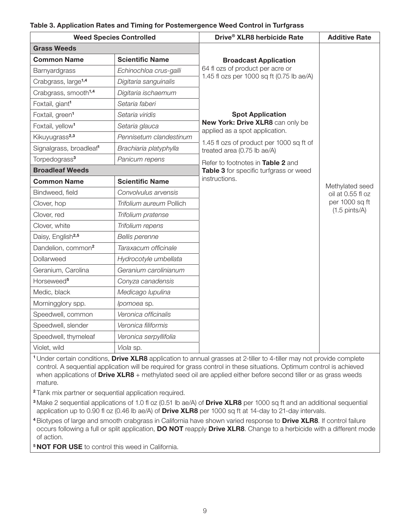| Table 3. Application Rates and Timing for Postemergence Weed Control in Turfgrass |  |  |
|-----------------------------------------------------------------------------------|--|--|
|-----------------------------------------------------------------------------------|--|--|

|                                     | <b>Weed Species Controlled</b> | Drive® XLR8 herbicide Rate                                              | <b>Additive Rate</b>    |
|-------------------------------------|--------------------------------|-------------------------------------------------------------------------|-------------------------|
| <b>Grass Weeds</b>                  |                                |                                                                         |                         |
| <b>Common Name</b>                  | <b>Scientific Name</b>         | <b>Broadcast Application</b>                                            |                         |
| Barnyardgrass                       | Echinochloa crus-galli         | 64 fl ozs of product per acre or                                        |                         |
| Crabgrass, large <sup>1,4</sup>     | Digitaria sanguinalis          | 1.45 fl ozs per 1000 sq ft (0.75 lb ae/A)                               |                         |
| Crabgrass, smooth <sup>1,4</sup>    | Digitaria ischaemum            |                                                                         |                         |
| Foxtail, giant <sup>1</sup>         | Setaria faberi                 |                                                                         |                         |
| Foxtail, green <sup>1</sup>         | Setaria viridis                | <b>Spot Application</b>                                                 |                         |
| Foxtail, yellow <sup>1</sup>        | Setaria glauca                 | New York: Drive XLR8 can only be<br>applied as a spot application.      |                         |
| Kikuyugrass <sup>2,3</sup>          | Pennisetum clandestinum        |                                                                         |                         |
| Signalgrass, broadleaf <sup>1</sup> | Brachiaria platyphylla         | 1.45 fl ozs of product per 1000 sq ft of<br>treated area (0.75 lb ae/A) |                         |
| Torpedograss <sup>3</sup>           | Panicum repens                 | Refer to footnotes in Table 2 and                                       |                         |
| <b>Broadleaf Weeds</b>              |                                | Table 3 for specific turfgrass or weed                                  |                         |
| <b>Common Name</b>                  | <b>Scientific Name</b>         | instructions.                                                           | Methylated seed         |
| Bindweed, field                     | Convolvulus arvensis           |                                                                         | oil at 0.55 fl oz       |
| Clover, hop                         | Trifolium aureum Pollich       |                                                                         | per 1000 sq ft          |
| Clover, red                         | Trifolium pratense             |                                                                         | $(1.5 \text{ pints/A})$ |
| Clover, white                       | Trifolium repens               |                                                                         |                         |
| Daisy, English <sup>2,5</sup>       | <b>Bellis perenne</b>          |                                                                         |                         |
| Dandelion, common <sup>2</sup>      | Taraxacum officinale           |                                                                         |                         |
| Dollarweed                          | Hydrocotyle umbellata          |                                                                         |                         |
| Geranium, Carolina                  | Geranium carolinianum          |                                                                         |                         |
| Horseweed <sup>5</sup>              | Conyza canadensis              |                                                                         |                         |
| Medic, black                        | Medicago lupulina              |                                                                         |                         |
| Morningglory spp.                   | Ipomoea sp.                    |                                                                         |                         |
| Speedwell, common                   | Veronica officinalis           |                                                                         |                         |
| Speedwell, slender                  | Veronica filiformis            |                                                                         |                         |
| Speedwell, thymeleaf                | Veronica serpyllifolia         |                                                                         |                         |
| Violet, wild                        | Viola sp.                      |                                                                         |                         |

<sup>1</sup> Under certain conditions, **Drive XLR8** application to annual grasses at 2-tiller to 4-tiller may not provide complete control. A sequential application will be required for grass control in these situations. Optimum control is achieved when applications of **Drive XLR8** + methylated seed oil are applied either before second tiller or as grass weeds mature.

<sup>2</sup>Tank mix partner or sequential application required.

<sup>3</sup> Make 2 sequential applications of 1.0 fl oz (0.51 lb ae/A) of **Drive XLR8** per 1000 sq ft and an additional sequential application up to 0.90 fl oz (0.46 lb ae/A) of **Drive XLR8** per 1000 sq ft at 14-day to 21-day intervals.

<sup>4</sup> Biotypes of large and smooth crabgrass in California have shown varied response to **Drive XLR8**. If control failure occurs following a full or split application, **DO NOT** reapply **Drive XLR8**. Change to a herbicide with a different mode of action.

<sup>5</sup> NOT FOR USE to control this weed in California.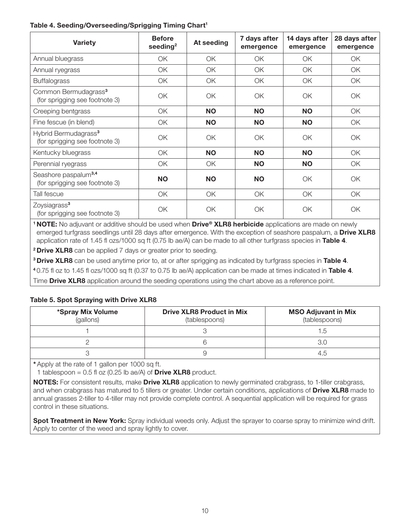#### Table 4. Seeding/Overseeding/Sprigging Timing Chart<sup>1</sup>

| <b>Variety</b>                                                     | <b>Before</b><br>seeding $2$ | At seeding | 7 days after<br>emergence | 14 days after<br>emergence | 28 days after<br>emergence |
|--------------------------------------------------------------------|------------------------------|------------|---------------------------|----------------------------|----------------------------|
| Annual bluegrass                                                   | ОK                           | ОK         | ОK                        | OK                         | ОK                         |
| Annual ryegrass                                                    | OK                           | OK         | ОK                        | OK                         | ОK                         |
| <b>Buffalograss</b>                                                | OK                           | OK         | OK                        | OK                         | OK                         |
| Common Bermudagrass <sup>3</sup><br>(for sprigging see footnote 3) | OK                           | OK         | OK.                       | OK                         | OK                         |
| Creeping bentgrass                                                 | OK                           | <b>NO</b>  | <b>NO</b>                 | <b>NO</b>                  | OK                         |
| Fine fescue (in blend)                                             | OK                           | <b>NO</b>  | <b>NO</b>                 | <b>NO</b>                  | ОK                         |
| Hybrid Bermudagrass <sup>3</sup><br>(for sprigging see footnote 3) | OK                           | OK         | OK.                       | OK                         | OK                         |
| Kentucky bluegrass                                                 | ОK                           | <b>NO</b>  | <b>NO</b>                 | <b>NO</b>                  | OK                         |
| Perennial ryegrass                                                 | OK                           | ОK         | <b>NO</b>                 | <b>NO</b>                  | ОK                         |
| Seashore paspalum <sup>3,4</sup><br>(for sprigging see footnote 3) | <b>NO</b>                    | <b>NO</b>  | <b>NO</b>                 | OK                         | ОK                         |
| Tall fescue                                                        | OK                           | OK         | OK                        | OK                         | OK                         |
| Zoysiagrass <sup>3</sup><br>(for sprigging see footnote 3)         | ОK                           | OK         | OK                        | OK                         | OK                         |

<sup>1</sup> NOTE: No adjuvant or additive should be used when Drive<sup>®</sup> XLR8 herbicide applications are made on newly emerged turfgrass seedlings until 28 days after emergence. With the exception of seashore paspalum, a Drive XLR8 application rate of 1.45 fl ozs/1000 sq ft (0.75 lb ae/A) can be made to all other turfgrass species in Table 4.

<sup>2</sup> Drive XLR8 can be applied 7 days or greater prior to seeding.

<sup>3</sup> Drive XLR8 can be used anytime prior to, at or after sprigging as indicated by turfgrass species in Table 4.

<sup>4</sup>0.75 fl oz to 1.45 fl ozs/1000 sq ft (0.37 to 0.75 lb ae/A) application can be made at times indicated in Table 4.

Time **Drive XLR8** application around the seeding operations using the chart above as a reference point.

#### Table 5. Spot Spraying with Drive XLR8

| *Spray Mix Volume<br>(gallons) | <b>Drive XLR8 Product in Mix</b><br>(tablespoons) | <b>MSO Adjuvant in Mix</b><br>(tablespoons) |
|--------------------------------|---------------------------------------------------|---------------------------------------------|
|                                |                                                   | l.b                                         |
|                                |                                                   |                                             |
|                                |                                                   |                                             |

\* Apply at the rate of 1 gallon per 1000 sq ft.

1 tablespoon =  $0.5$  fl oz (0.25 lb ae/A) of **Drive XLR8** product.

NOTES: For consistent results, make Drive XLR8 application to newly germinated crabgrass, to 1-tiller crabgrass, and when crabgrass has matured to 5 tillers or greater. Under certain conditions, applications of Drive XLR8 made to annual grasses 2-tiller to 4-tiller may not provide complete control. A sequential application will be required for grass control in these situations.

Spot Treatment in New York: Spray individual weeds only. Adjust the sprayer to coarse spray to minimize wind drift. Apply to center of the weed and spray lightly to cover.